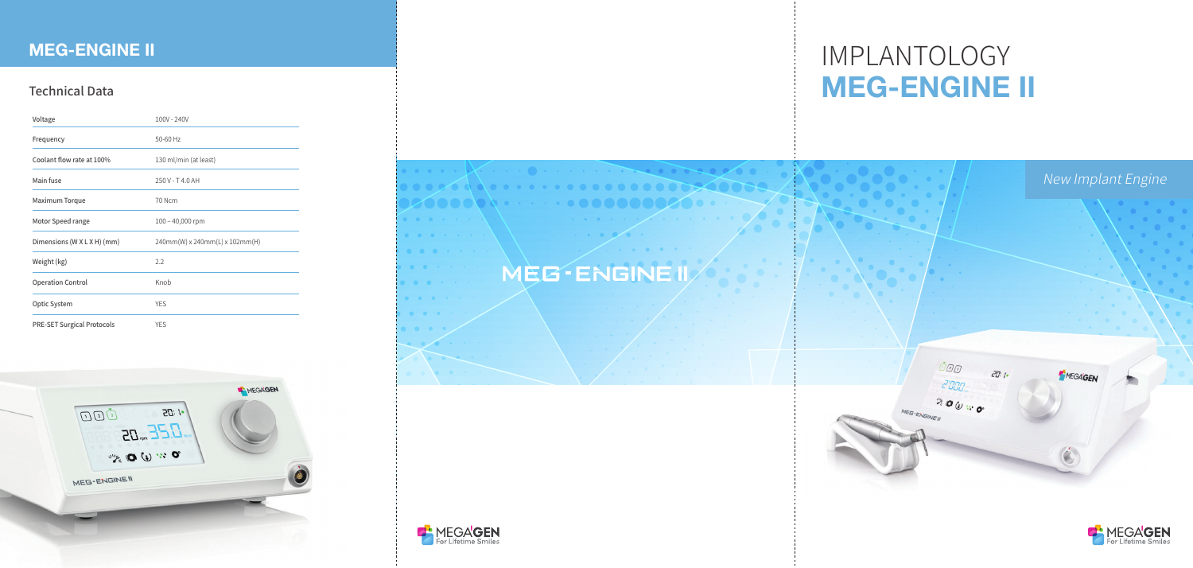# IMPLANTOLOGY **MEG-ENGINE II**







### Technical Data

| Voltage                           | 100V - 240V                    |
|-----------------------------------|--------------------------------|
| Frequency                         | 50-60 Hz                       |
| Coolant flow rate at 100%         | 130 ml/min (at least)          |
| Main fuse                         | 250 V - T 4.0 AH               |
| <b>Maximum Torque</b>             | 70 Ncm                         |
| Motor Speed range                 | $100 - 40,000$ rpm             |
| Dimensions (W X L X H) (mm)       | 240mm(W) x 240mm(L) x 102mm(H) |
| Weight (kg)                       | 2.2                            |
| <b>Operation Control</b>          | Knob                           |
| <b>Optic System</b>               | <b>YES</b>                     |
| <b>PRE-SET Surgical Protocols</b> | <b>YES</b>                     |



## **MEG-ENGINE II**